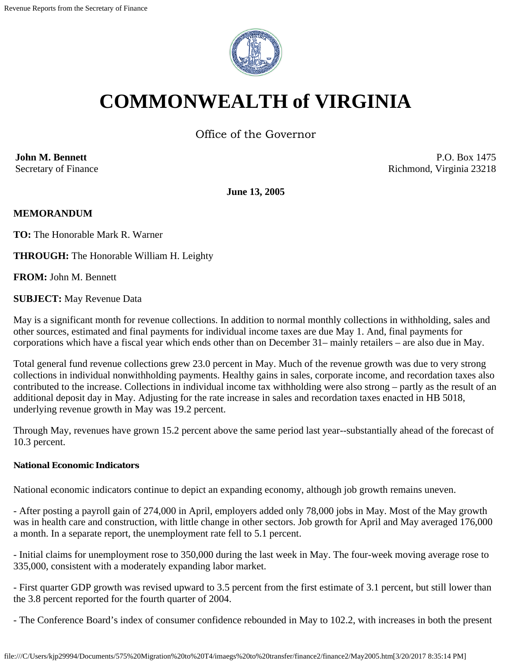

# **COMMONWEALTH of VIRGINIA**

Office of the Governor

**John M. Bennett** Secretary of Finance

P.O. Box 1475 Richmond, Virginia 23218

**June 13, 2005**

# **MEMORANDUM**

**TO:** The Honorable Mark R. Warner

**THROUGH:** The Honorable William H. Leighty

**FROM:** John M. Bennett

**SUBJECT:** May Revenue Data

May is a significant month for revenue collections. In addition to normal monthly collections in withholding, sales and other sources, estimated and final payments for individual income taxes are due May 1. And, final payments for corporations which have a fiscal year which ends other than on December 31– mainly retailers – are also due in May.

Total general fund revenue collections grew 23.0 percent in May. Much of the revenue growth was due to very strong collections in individual nonwithholding payments. Healthy gains in sales, corporate income, and recordation taxes also contributed to the increase. Collections in individual income tax withholding were also strong – partly as the result of an additional deposit day in May. Adjusting for the rate increase in sales and recordation taxes enacted in HB 5018, underlying revenue growth in May was 19.2 percent.

Through May, revenues have grown 15.2 percent above the same period last year--substantially ahead of the forecast of 10.3 percent.

#### **National Economic Indicators**

National economic indicators continue to depict an expanding economy, although job growth remains uneven.

- After posting a payroll gain of 274,000 in April, employers added only 78,000 jobs in May. Most of the May growth was in health care and construction, with little change in other sectors. Job growth for April and May averaged 176,000 a month. In a separate report, the unemployment rate fell to 5.1 percent.

- Initial claims for unemployment rose to 350,000 during the last week in May. The four-week moving average rose to 335,000, consistent with a moderately expanding labor market.

- First quarter GDP growth was revised upward to 3.5 percent from the first estimate of 3.1 percent, but still lower than the 3.8 percent reported for the fourth quarter of 2004.

- The Conference Board's index of consumer confidence rebounded in May to 102.2, with increases in both the present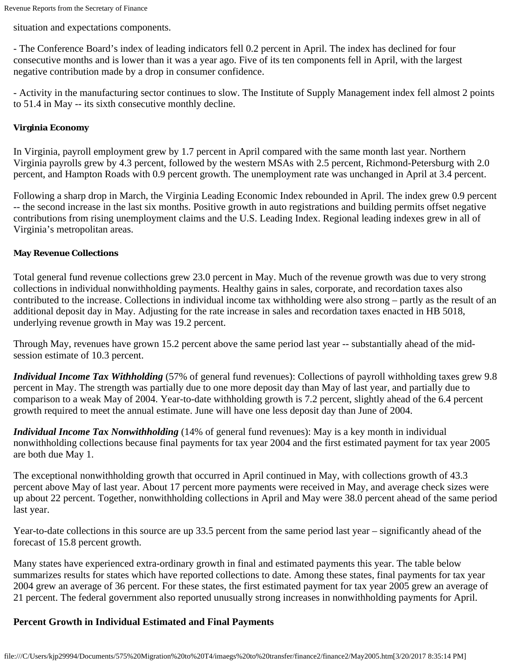situation and expectations components.

- The Conference Board's index of leading indicators fell 0.2 percent in April. The index has declined for four consecutive months and is lower than it was a year ago. Five of its ten components fell in April, with the largest negative contribution made by a drop in consumer confidence.

- Activity in the manufacturing sector continues to slow. The Institute of Supply Management index fell almost 2 points to 51.4 in May -- its sixth consecutive monthly decline.

#### **Virginia Economy**

In Virginia, payroll employment grew by 1.7 percent in April compared with the same month last year. Northern Virginia payrolls grew by 4.3 percent, followed by the western MSAs with 2.5 percent, Richmond-Petersburg with 2.0 percent, and Hampton Roads with 0.9 percent growth. The unemployment rate was unchanged in April at 3.4 percent.

Following a sharp drop in March, the Virginia Leading Economic Index rebounded in April. The index grew 0.9 percent -- the second increase in the last six months. Positive growth in auto registrations and building permits offset negative contributions from rising unemployment claims and the U.S. Leading Index. Regional leading indexes grew in all of Virginia's metropolitan areas.

#### **May Revenue Collections**

Total general fund revenue collections grew 23.0 percent in May. Much of the revenue growth was due to very strong collections in individual nonwithholding payments. Healthy gains in sales, corporate, and recordation taxes also contributed to the increase. Collections in individual income tax withholding were also strong – partly as the result of an additional deposit day in May. Adjusting for the rate increase in sales and recordation taxes enacted in HB 5018, underlying revenue growth in May was 19.2 percent.

Through May, revenues have grown 15.2 percent above the same period last year -- substantially ahead of the midsession estimate of 10.3 percent.

*Individual Income Tax Withholding* (57% of general fund revenues): Collections of payroll withholding taxes grew 9.8 percent in May. The strength was partially due to one more deposit day than May of last year, and partially due to comparison to a weak May of 2004. Year-to-date withholding growth is 7.2 percent, slightly ahead of the 6.4 percent growth required to meet the annual estimate. June will have one less deposit day than June of 2004.

*Individual Income Tax Nonwithholding* (14% of general fund revenues): May is a key month in individual nonwithholding collections because final payments for tax year 2004 and the first estimated payment for tax year 2005 are both due May 1.

The exceptional nonwithholding growth that occurred in April continued in May, with collections growth of 43.3 percent above May of last year. About 17 percent more payments were received in May, and average check sizes were up about 22 percent. Together, nonwithholding collections in April and May were 38.0 percent ahead of the same period last year.

Year-to-date collections in this source are up 33.5 percent from the same period last year – significantly ahead of the forecast of 15.8 percent growth.

Many states have experienced extra-ordinary growth in final and estimated payments this year. The table below summarizes results for states which have reported collections to date. Among these states, final payments for tax year 2004 grew an average of 36 percent. For these states, the first estimated payment for tax year 2005 grew an average of 21 percent. The federal government also reported unusually strong increases in nonwithholding payments for April.

# **Percent Growth in Individual Estimated and Final Payments**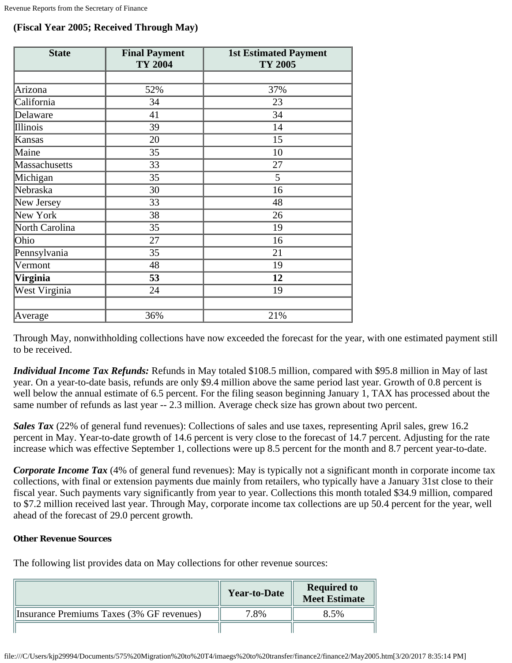# **(Fiscal Year 2005; Received Through May)**

| <b>State</b>   | <b>Final Payment</b><br><b>TY 2004</b> | <b>1st Estimated Payment</b><br>TY 2005 |  |
|----------------|----------------------------------------|-----------------------------------------|--|
|                |                                        |                                         |  |
| Arizona        | 52%                                    | 37%                                     |  |
| California     | 34                                     | 23                                      |  |
| Delaware       | 41                                     | 34                                      |  |
| Illinois       | 39                                     | 14                                      |  |
| Kansas         | 20                                     | 15                                      |  |
| Maine          | 35                                     | 10                                      |  |
| Massachusetts  | 33                                     | 27                                      |  |
| Michigan       | 35                                     | 5                                       |  |
| Nebraska       | 30                                     | 16                                      |  |
| New Jersey     | 33                                     | 48                                      |  |
| New York       | 38                                     | 26                                      |  |
| North Carolina | 35                                     | 19                                      |  |
| Ohio           | 27                                     | 16                                      |  |
| Pennsylvania   | 35                                     | 21                                      |  |
| Vermont        | 48                                     | 19                                      |  |
| Virginia       | 53                                     | 12                                      |  |
| West Virginia  | 24                                     | 19                                      |  |
|                |                                        |                                         |  |
| Average        | 36%                                    | 21%                                     |  |

Through May, nonwithholding collections have now exceeded the forecast for the year, with one estimated payment still to be received.

*Individual Income Tax Refunds:* Refunds in May totaled \$108.5 million, compared with \$95.8 million in May of last year. On a year-to-date basis, refunds are only \$9.4 million above the same period last year. Growth of 0.8 percent is well below the annual estimate of 6.5 percent. For the filing season beginning January 1, TAX has processed about the same number of refunds as last year -- 2.3 million. Average check size has grown about two percent.

*Sales Tax* (22% of general fund revenues): Collections of sales and use taxes, representing April sales, grew 16.2 percent in May. Year-to-date growth of 14.6 percent is very close to the forecast of 14.7 percent. Adjusting for the rate increase which was effective September 1, collections were up 8.5 percent for the month and 8.7 percent year-to-date.

*Corporate Income Tax* (4% of general fund revenues): May is typically not a significant month in corporate income tax collections, with final or extension payments due mainly from retailers, who typically have a January 31st close to their fiscal year. Such payments vary significantly from year to year. Collections this month totaled \$34.9 million, compared to \$7.2 million received last year. Through May, corporate income tax collections are up 50.4 percent for the year, well ahead of the forecast of 29.0 percent growth.

# **Other Revenue Sources**

The following list provides data on May collections for other revenue sources:

|                                           | <b>Year-to-Date</b> | <b>Required to<br/>Meet Estimate</b> |
|-------------------------------------------|---------------------|--------------------------------------|
| Insurance Premiums Taxes (3% GF revenues) | 7.8%                | 8.5%                                 |
|                                           |                     |                                      |